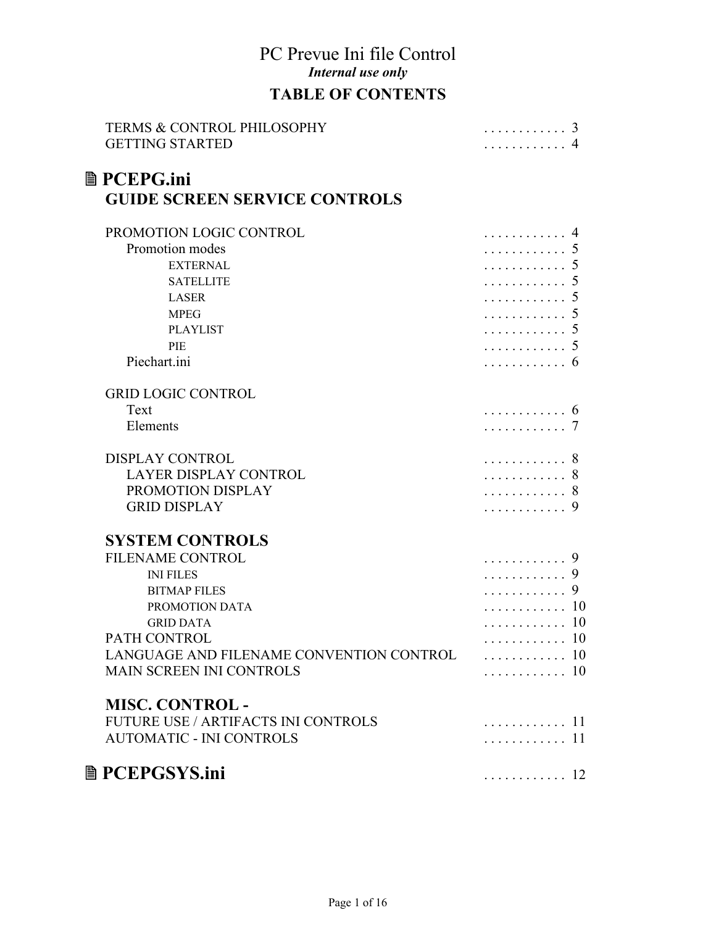# PC Prevue Ini file Control *Internal use only* **TABLE OF CONTENTS**

| <b>TERMS &amp; CONTROL PHILOSOPHY</b><br><b>GETTING STARTED</b> | . 3<br>. 4                       |
|-----------------------------------------------------------------|----------------------------------|
| <b>■ PCEPG.ini</b><br><b>GUIDE SCREEN SERVICE CONTROLS</b>      |                                  |
| PROMOTION LOGIC CONTROL                                         | .                                |
| Promotion modes                                                 | .                                |
| <b>EXTERNAL</b>                                                 | .                                |
| <b>SATELLITE</b>                                                | .                                |
| <b>LASER</b>                                                    | .                                |
| <b>MPEG</b>                                                     | .                                |
| <b>PLAYLIST</b>                                                 | .                                |
| PIE                                                             | .                                |
| Piechart.ini                                                    | . 6                              |
| <b>GRID LOGIC CONTROL</b>                                       |                                  |
| Text                                                            | .                                |
| Elements                                                        | . 7                              |
| <b>DISPLAY CONTROL</b>                                          | .<br>8                           |
| LAYER DISPLAY CONTROL                                           | . 8                              |
| PROMOTION DISPLAY                                               | . 8                              |
| <b>GRID DISPLAY</b>                                             | . 9                              |
| <b>SYSTEM CONTROLS</b>                                          |                                  |
| FILENAME CONTROL                                                | .<br>9                           |
| <b>INI FILES</b>                                                | .                                |
| <b>BITMAP FILES</b>                                             | .                                |
| PROMOTION DATA                                                  | . 10                             |
| <b>GRID DATA</b>                                                | . 10                             |
| PATH CONTROL                                                    | . 10                             |
| LANGUAGE AND FILENAME CONVENTION CONTROL  10                    |                                  |
| MAIN SCREEN INI CONTROLS                                        | . 10                             |
| <b>MISC. CONTROL -</b>                                          |                                  |
| <b>FUTURE USE / ARTIFACTS INI CONTROLS</b>                      | . 11                             |
| <b>AUTOMATIC - INI CONTROLS</b>                                 | . 11                             |
| <b>■ PCEPGSYS.ini</b>                                           | $\ldots \ldots \ldots \ldots 12$ |
|                                                                 |                                  |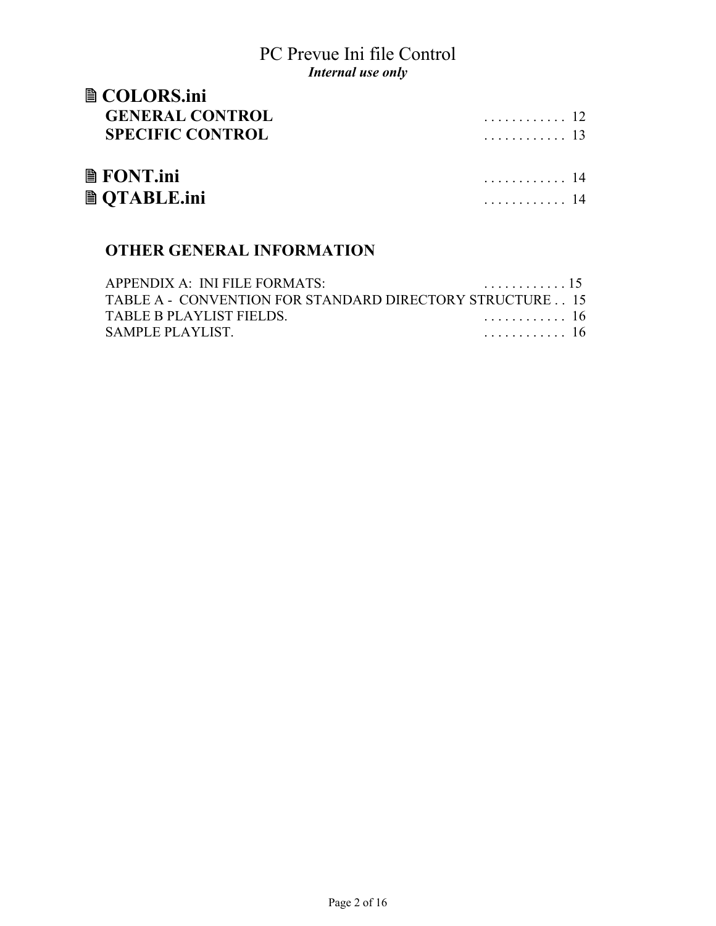| <b>■ COLORS.ini</b>     |      |
|-------------------------|------|
| <b>GENERAL CONTROL</b>  | . 12 |
| <b>SPECIFIC CONTROL</b> | . 13 |
| $\blacksquare$ FONT.ini | . 14 |
| <b>A</b> OTABLE.ini     | . 14 |

# **OTHER GENERAL INFORMATION**

| APPENDIX A: INI FILE FORMATS:                            | . 15 |
|----------------------------------------------------------|------|
| TABLE A - CONVENTION FOR STANDARD DIRECTORY STRUCTURE 15 |      |
| TABLE B PLAYLIST FIELDS                                  | . 16 |
| SAMPLE PLAYLIST.                                         | . 16 |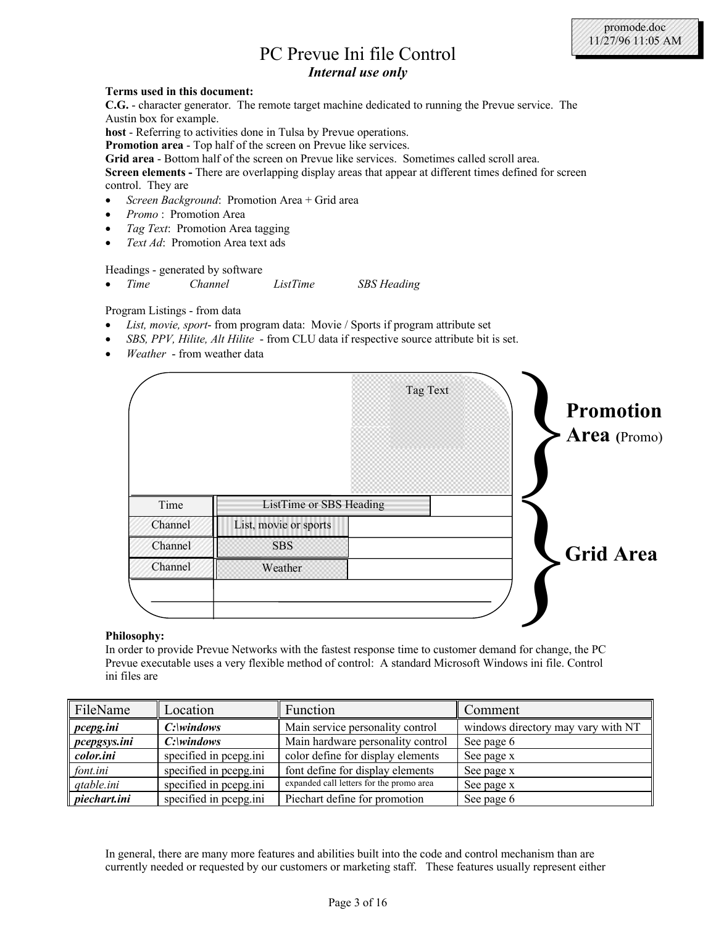| PC Prevue Ini file Control |
|----------------------------|
| Internal use only          |

#### **Terms used in this document:**

**C.G.** - character generator. The remote target machine dedicated to running the Prevue service. The Austin box for example.

**host** - Referring to activities done in Tulsa by Prevue operations.

**Promotion area** - Top half of the screen on Prevue like services.

**Grid area** - Bottom half of the screen on Prevue like services. Sometimes called scroll area.

**Screen elements -** There are overlapping display areas that appear at different times defined for screen control. They are

- *Screen Background*: Promotion Area + Grid area
- *Promo* : Promotion Area
- *Tag Text*: Promotion Area tagging
- *Text Ad*: Promotion Area text ads

Headings - generated by software

• *Time Channel ListTime SBS Heading*

Program Listings - from data

- *List, movie, sport* from program data: Movie / Sports if program attribute set
- *SBS, PPV, Hilite, Alt Hilite*  from CLU data if respective source attribute bit is set.
- *Weather*  from weather data



#### **Philosophy:**

In order to provide Prevue Networks with the fastest response time to customer demand for change, the PC Prevue executable uses a very flexible method of control: A standard Microsoft Windows ini file. Control ini files are

| FileName          | Location               | Function                                 | Comment                            |  |
|-------------------|------------------------|------------------------------------------|------------------------------------|--|
| $\vert$ pcepg.ini |                        | Main service personality control         | windows directory may vary with NT |  |
| $\ $ pcepgsys.ini |                        | Main hardware personality control        | See page 6                         |  |
| color.ini         | specified in pcepg.ini | color define for display elements        | See page x                         |  |
| font.ini          | specified in pcepg.ini | font define for display elements         | See page x                         |  |
| $q$ atable.ini    | specified in pcepg.ini | expanded call letters for the promo area | See page x                         |  |
| $\ $ piechart.ini | specified in pcepg.ini | Piechart define for promotion            | See page 6                         |  |

In general, there are many more features and abilities built into the code and control mechanism than are currently needed or requested by our customers or marketing staff. These features usually represent either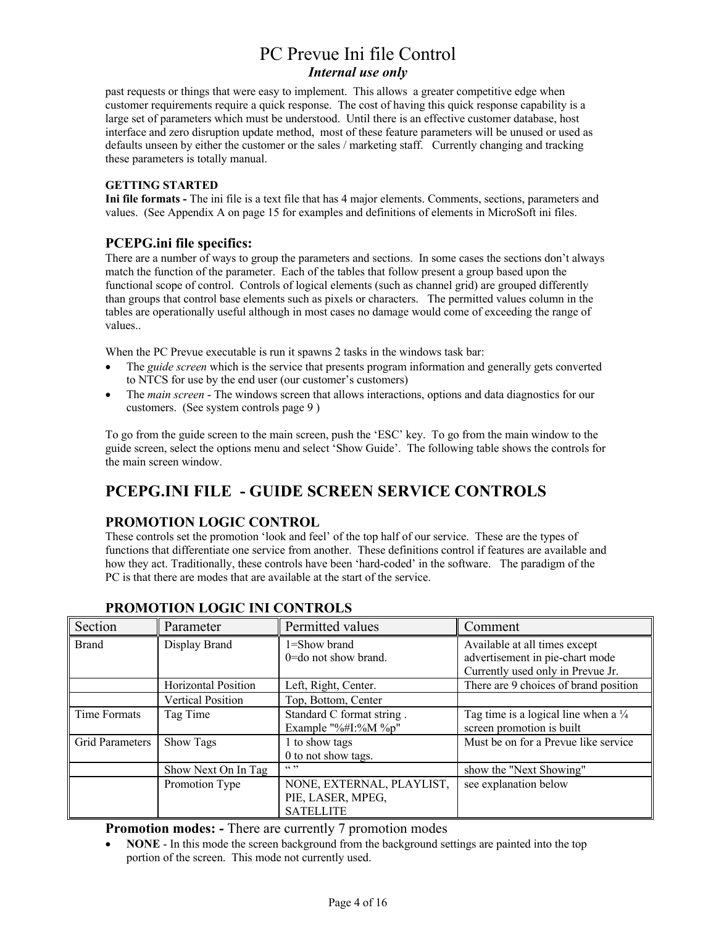past requests or things that were easy to implement. This allows a greater competitive edge when customer requirements require a quick response. The cost of having this quick response capability is a large set of parameters which must be understood. Until there is an effective customer database, host interface and zero disruption update method, most of these feature parameters will be unused or used as defaults unseen by either the customer or the sales / marketing staff. Currently changing and tracking these parameters is totally manual.

#### **GETTING STARTED**

**Ini file formats -** The ini file is a text file that has 4 major elements. Comments, sections, parameters and values. (See Appendix A on page 15 for examples and definitions of elements in MicroSoft ini files.

#### **PCEPG.ini file specifics:**

There are a number of ways to group the parameters and sections. In some cases the sections don't always match the function of the parameter. Each of the tables that follow present a group based upon the functional scope of control. Controls of logical elements (such as channel grid) are grouped differently than groups that control base elements such as pixels or characters. The permitted values column in the tables are operationally useful although in most cases no damage would come of exceeding the range of values..

When the PC Prevue executable is run it spawns 2 tasks in the windows task bar:

- The *guide screen* which is the service that presents program information and generally gets converted to NTCS for use by the end user (our customer's customers)
- The *main screen*  The windows screen that allows interactions, options and data diagnostics for our customers. (See system controls page 9 )

To go from the guide screen to the main screen, push the 'ESC' key. To go from the main window to the guide screen, select the options menu and select 'Show Guide'. The following table shows the controls for the main screen window.

# **PCEPG.INI FILE - GUIDE SCREEN SERVICE CONTROLS**

### **PROMOTION LOGIC CONTROL**

These controls set the promotion 'look and feel' of the top half of our service. These are the types of functions that differentiate one service from another. These definitions control if features are available and how they act. Traditionally, these controls have been 'hard-coded' in the software. The paradigm of the PC is that there are modes that are available at the start of the service.

| Section                | Parameter                | Permitted values                             | Comment                                                          |
|------------------------|--------------------------|----------------------------------------------|------------------------------------------------------------------|
| <b>Brand</b>           | Display Brand            | $1 =$ Show brand<br>$0 =$ do not show brand. | Available at all times except<br>advertisement in pie-chart mode |
|                        |                          |                                              | Currently used only in Prevue Jr.                                |
|                        | Horizontal Position      | Left, Right, Center.                         | There are 9 choices of brand position                            |
|                        | <b>Vertical Position</b> | Top, Bottom, Center                          |                                                                  |
| Time Formats           | Tag Time                 | Standard C format string.                    | Tag time is a logical line when a $\frac{1}{4}$                  |
|                        |                          | Example "%#I:%M %p"                          | screen promotion is built                                        |
| <b>Grid Parameters</b> | <b>Show Tags</b>         | 1 to show tags                               | Must be on for a Prevue like service                             |
|                        |                          | 0 to not show tags.                          |                                                                  |
|                        | Show Next On In Tag      | 66, 99                                       | show the "Next Showing"                                          |
|                        | Promotion Type           | NONE, EXTERNAL, PLAYLIST,                    | see explanation below                                            |
|                        |                          | PIE, LASER, MPEG,                            |                                                                  |
|                        |                          | <b>SATELLITE</b>                             |                                                                  |

### **PROMOTION LOGIC INI CONTROLS**

**Promotion modes: -** There are currently 7 promotion modes

• **NONE** - In this mode the screen background from the background settings are painted into the top portion of the screen. This mode not currently used.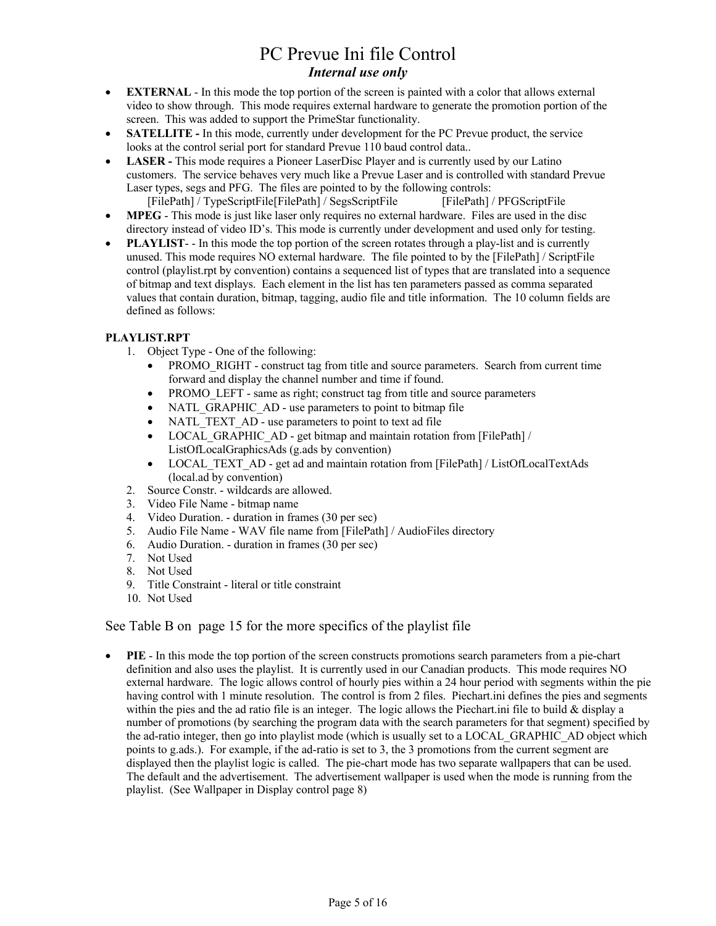- **EXTERNAL** In this mode the top portion of the screen is painted with a color that allows external video to show through. This mode requires external hardware to generate the promotion portion of the screen. This was added to support the PrimeStar functionality.
- **SATELLITE -** In this mode, currently under development for the PC Prevue product, the service looks at the control serial port for standard Prevue 110 baud control data..
- **LASER** This mode requires a Pioneer LaserDisc Player and is currently used by our Latino customers. The service behaves very much like a Prevue Laser and is controlled with standard Prevue Laser types, segs and PFG. The files are pointed to by the following controls: [FilePath] / TypeScriptFile[FilePath] / SegsScriptFile [FilePath] / PFGScriptFile
- **MPEG**  This mode is just like laser only requires no external hardware. Files are used in the disc directory instead of video ID's. This mode is currently under development and used only for testing.
- **PLAYLIST**-- In this mode the top portion of the screen rotates through a play-list and is currently unused. This mode requires NO external hardware. The file pointed to by the [FilePath] / ScriptFile control (playlist.rpt by convention) contains a sequenced list of types that are translated into a sequence of bitmap and text displays. Each element in the list has ten parameters passed as comma separated values that contain duration, bitmap, tagging, audio file and title information. The 10 column fields are defined as follows:

#### **PLAYLIST.RPT**

- 1. Object Type One of the following:
	- PROMO\_RIGHT construct tag from title and source parameters. Search from current time forward and display the channel number and time if found.
	- PROMO LEFT same as right; construct tag from title and source parameters
	- NATL GRAPHIC AD use parameters to point to bitmap file
	- NATL TEXT AD use parameters to point to text ad file
	- LOCAL GRAPHIC AD get bitmap and maintain rotation from [FilePath] / ListOfLocalGraphicsAds (g.ads by convention)
	- LOCAL TEXT AD get ad and maintain rotation from [FilePath] / ListOfLocalTextAds (local.ad by convention)
- 2. Source Constr. wildcards are allowed.
- 3. Video File Name bitmap name
- 4. Video Duration. duration in frames (30 per sec)
- 5. Audio File Name WAV file name from [FilePath] / AudioFiles directory
- 6. Audio Duration. duration in frames (30 per sec)
- 7. Not Used
- 8. Not Used
- 9. Title Constraint literal or title constraint
- 10. Not Used

#### See Table B on page 15 for the more specifics of the playlist file

• **PIE** - In this mode the top portion of the screen constructs promotions search parameters from a pie-chart definition and also uses the playlist. It is currently used in our Canadian products. This mode requires NO external hardware. The logic allows control of hourly pies within a 24 hour period with segments within the pie having control with 1 minute resolution. The control is from 2 files. Piechart. in defines the pies and segments within the pies and the ad ratio file is an integer. The logic allows the Piechart.ini file to build  $\&$  display a number of promotions (by searching the program data with the search parameters for that segment) specified by the ad-ratio integer, then go into playlist mode (which is usually set to a LOCAL\_GRAPHIC\_AD object which points to g.ads.). For example, if the ad-ratio is set to 3, the 3 promotions from the current segment are displayed then the playlist logic is called. The pie-chart mode has two separate wallpapers that can be used. The default and the advertisement. The advertisement wallpaper is used when the mode is running from the playlist. (See Wallpaper in Display control page 8)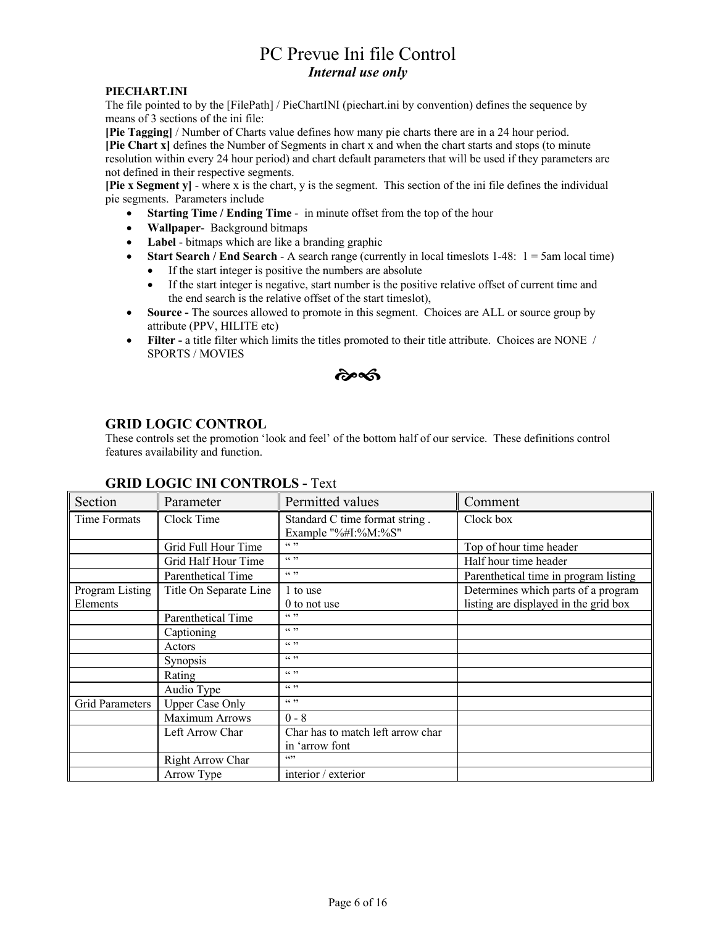#### **PIECHART.INI**

The file pointed to by the [FilePath] / PieChartINI (piechart.ini by convention) defines the sequence by means of 3 sections of the ini file:

**[Pie Tagging]** / Number of Charts value defines how many pie charts there are in a 24 hour period. **[Pie Chart x]** defines the Number of Segments in chart x and when the chart starts and stops (to minute resolution within every 24 hour period) and chart default parameters that will be used if they parameters are not defined in their respective segments.

**[Pie x Segment y]** - where x is the chart, y is the segment. This section of the ini file defines the individual pie segments. Parameters include

- **Starting Time / Ending Time -** in minute offset from the top of the hour
- **Wallpaper** Background bitmaps
- **Label**  bitmaps which are like a branding graphic
- **Start Search / End Search A** search range (currently in local timeslots 1-48:  $1 = 5$ am local time)
	- If the start integer is positive the numbers are absolute
	- If the start integer is negative, start number is the positive relative offset of current time and the end search is the relative offset of the start timeslot),
- **Source -** The sources allowed to promote in this segment. Choices are ALL or source group by attribute (PPV, HILITE etc)
- **Filter -** a title filter which limits the titles promoted to their title attribute. Choices are NONE / SPORTS / MOVIES

సౌత

### **GRID LOGIC CONTROL**

These controls set the promotion 'look and feel' of the bottom half of our service. These definitions control features availability and function.

| Section                | Parameter              | Permitted values                                      | Comment                               |
|------------------------|------------------------|-------------------------------------------------------|---------------------------------------|
| Time Formats           | Clock Time             | Standard C time format string.<br>Example "%#I:%M:%S" | Clock box                             |
|                        | Grid Full Hour Time    | 66, 99                                                | Top of hour time header               |
|                        | Grid Half Hour Time    | 66, 99                                                | Half hour time header                 |
|                        | Parenthetical Time     | 66, 99                                                | Parenthetical time in program listing |
| Program Listing        | Title On Separate Line | 1 to use                                              | Determines which parts of a program   |
| Elements               |                        | 0 to not use                                          | listing are displayed in the grid box |
|                        | Parenthetical Time     | 66, 99                                                |                                       |
|                        | Captioning             | 66, 99                                                |                                       |
|                        | Actors                 | 66, 99                                                |                                       |
|                        | <b>Synopsis</b>        | 66, 99                                                |                                       |
|                        | Rating                 | 66, 99                                                |                                       |
|                        | Audio Type             | 66, 99                                                |                                       |
| <b>Grid Parameters</b> | <b>Upper Case Only</b> | 66, 99                                                |                                       |
|                        | Maximum Arrows         | $0 - 8$                                               |                                       |
|                        | Left Arrow Char        | Char has to match left arrow char                     |                                       |
|                        |                        | in 'arrow font                                        |                                       |
|                        | Right Arrow Char       | 6699                                                  |                                       |
|                        | Arrow Type             | interior / exterior                                   |                                       |

### **GRID LOGIC INI CONTROLS -** Text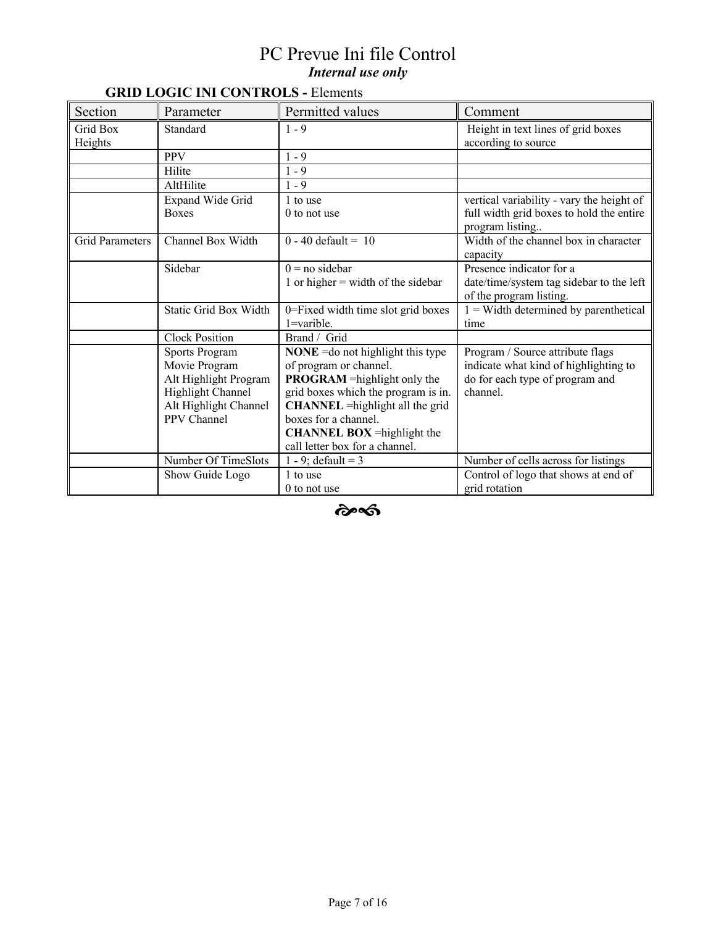# **GRID LOGIC INI CONTROLS -** Elements

| Section                | Parameter                    | Permitted values                        | Comment                                   |
|------------------------|------------------------------|-----------------------------------------|-------------------------------------------|
| Grid Box               | Standard                     | $1 - 9$                                 | Height in text lines of grid boxes        |
| Heights                |                              |                                         | according to source                       |
|                        | <b>PPV</b>                   | $1 - 9$                                 |                                           |
|                        | Hilite                       | $1 - 9$                                 |                                           |
|                        | AltHilite                    | $1 - 9$                                 |                                           |
|                        | Expand Wide Grid             | 1 to use                                | vertical variability - vary the height of |
|                        | <b>Boxes</b>                 | 0 to not use                            | full width grid boxes to hold the entire  |
|                        |                              |                                         | program listing                           |
| <b>Grid Parameters</b> | Channel Box Width            | $0 - 40$ default = 10                   | Width of the channel box in character     |
|                        |                              |                                         | capacity                                  |
|                        | Sidebar                      | $0 = no \, sidebar$                     | Presence indicator for a                  |
|                        |                              | 1 or higher $=$ width of the sidebar    | date/time/system tag sidebar to the left  |
|                        |                              |                                         | of the program listing.                   |
|                        | <b>Static Grid Box Width</b> | 0=Fixed width time slot grid boxes      | $1 =$ Width determined by parenthetical   |
|                        |                              | $1 =$ varible.                          | time                                      |
|                        | <b>Clock Position</b>        | Brand / Grid                            |                                           |
|                        | <b>Sports Program</b>        | $NONE = do not highlight this type$     | Program / Source attribute flags          |
|                        | Movie Program                | of program or channel.                  | indicate what kind of highlighting to     |
|                        | Alt Highlight Program        | <b>PROGRAM</b> = highlight only the     | do for each type of program and           |
|                        | Highlight Channel            | grid boxes which the program is in.     | channel.                                  |
|                        | Alt Highlight Channel        | <b>CHANNEL</b> = highlight all the grid |                                           |
|                        | PPV Channel                  | boxes for a channel.                    |                                           |
|                        |                              | <b>CHANNEL BOX</b> = highlight the      |                                           |
|                        |                              | call letter box for a channel.          |                                           |
|                        | Number Of TimeSlots          | 1 - 9; default = 3                      | Number of cells across for listings       |
|                        | Show Guide Logo              | 1 to use                                | Control of logo that shows at end of      |
|                        |                              | 0 to not use                            | grid rotation                             |

 $\hat{\mathbf{c}}$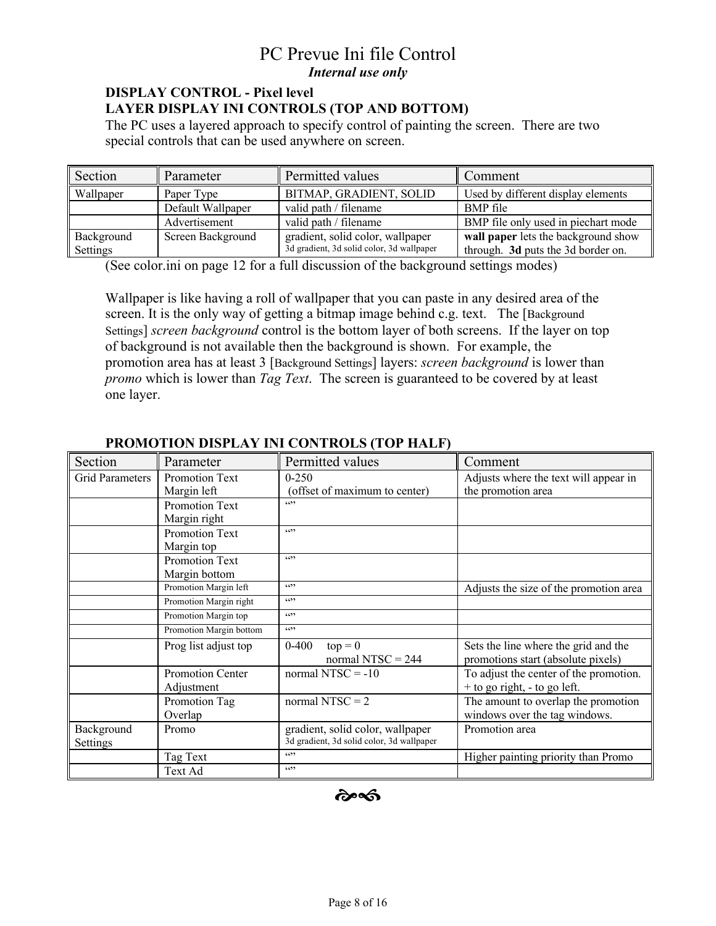## **DISPLAY CONTROL - Pixel level LAYER DISPLAY INI CONTROLS (TOP AND BOTTOM)**

The PC uses a layered approach to specify control of painting the screen. There are two special controls that can be used anywhere on screen.

| Section                | Parameter         | Permitted values                                                              | Comment                                                                   |
|------------------------|-------------------|-------------------------------------------------------------------------------|---------------------------------------------------------------------------|
| Wallpaper              | Paper Type        | BITMAP, GRADIENT, SOLID                                                       | Used by different display elements                                        |
|                        | Default Wallpaper | valid path / filename                                                         | <b>BMP</b> file                                                           |
|                        | Advertisement     | valid path / filename                                                         | BMP file only used in piechart mode                                       |
| Background<br>Settings | Screen Background | gradient, solid color, wallpaper<br>3d gradient, 3d solid color, 3d wallpaper | wall paper lets the background show<br>through. 3d puts the 3d border on. |

(See color.ini on page 12 for a full discussion of the background settings modes)

Wallpaper is like having a roll of wallpaper that you can paste in any desired area of the screen. It is the only way of getting a bitmap image behind c.g. text. The [Background Settings] *screen background* control is the bottom layer of both screens. If the layer on top of background is not available then the background is shown. For example, the promotion area has at least 3 [Background Settings] layers: *screen background* is lower than *promo* which is lower than *Tag Text*. The screen is guaranteed to be covered by at least one layer.

| Section                | Parameter               | Permitted values                          | Comment                                |
|------------------------|-------------------------|-------------------------------------------|----------------------------------------|
| <b>Grid Parameters</b> | Promotion Text          | $0 - 250$                                 | Adjusts where the text will appear in  |
|                        | Margin left             | (offset of maximum to center)             | the promotion area                     |
|                        | Promotion Text          | 6522                                      |                                        |
|                        | Margin right            |                                           |                                        |
|                        | <b>Promotion Text</b>   | 6699                                      |                                        |
|                        | Margin top              |                                           |                                        |
|                        | Promotion Text          | 6699                                      |                                        |
|                        | Margin bottom           |                                           |                                        |
|                        | Promotion Margin left   | 6699                                      | Adjusts the size of the promotion area |
|                        | Promotion Margin right  | 6699                                      |                                        |
|                        | Promotion Margin top    | 6699                                      |                                        |
|                        | Promotion Margin bottom | 6699                                      |                                        |
|                        | Prog list adjust top    | $top = 0$<br>$0 - 400$                    | Sets the line where the grid and the   |
|                        |                         | normal NTSC = $244$                       | promotions start (absolute pixels)     |
|                        | Promotion Center        | normal NTSC = $-10$                       | To adjust the center of the promotion. |
|                        | Adjustment              |                                           | + to go right, - to go left.           |
|                        | Promotion Tag           | normal NTSC = $2$                         | The amount to overlap the promotion    |
|                        | Overlap                 |                                           | windows over the tag windows.          |
| Background             | Promo                   | gradient, solid color, wallpaper          | Promotion area                         |
| Settings               |                         | 3d gradient, 3d solid color, 3d wallpaper |                                        |
|                        | Tag Text                | 6699                                      | Higher painting priority than Promo    |
|                        | Text Ad                 | 6699                                      |                                        |

## **PROMOTION DISPLAY INI CONTROLS (TOP HALF)**

సౌత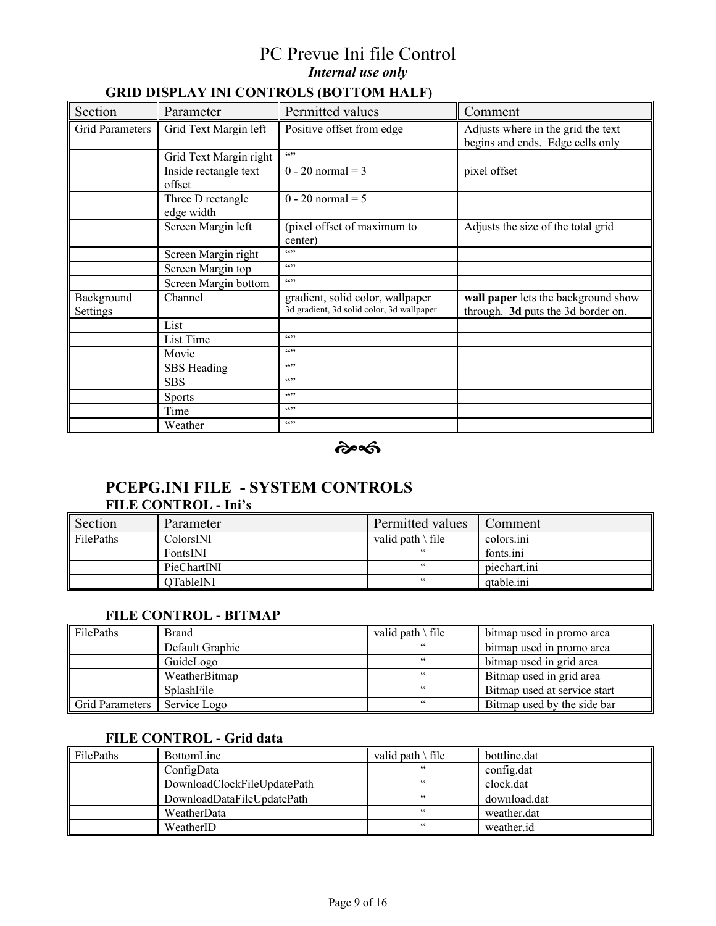# **GRID DISPLAY INI CONTROLS (BOTTOM HALF)**

| Section                | Parameter                       | Permitted values                                                              | Comment                                                                   |
|------------------------|---------------------------------|-------------------------------------------------------------------------------|---------------------------------------------------------------------------|
| Grid Parameters        | Grid Text Margin left           | Positive offset from edge                                                     | Adjusts where in the grid the text<br>begins and ends. Edge cells only    |
|                        | Grid Text Margin right          | 6522                                                                          |                                                                           |
|                        | Inside rectangle text<br>offset | $0 - 20$ normal = 3                                                           | pixel offset                                                              |
|                        | Three D rectangle<br>edge width | $0 - 20$ normal = 5                                                           |                                                                           |
|                        | Screen Margin left              | (pixel offset of maximum to<br>center)                                        | Adjusts the size of the total grid                                        |
|                        | Screen Margin right             | 6599                                                                          |                                                                           |
|                        | Screen Margin top               | 6522                                                                          |                                                                           |
|                        | Screen Margin bottom            | 6522                                                                          |                                                                           |
| Background<br>Settings | Channel                         | gradient, solid color, wallpaper<br>3d gradient, 3d solid color, 3d wallpaper | wall paper lets the background show<br>through. 3d puts the 3d border on. |
|                        | List                            |                                                                               |                                                                           |
|                        | List Time                       | 6699                                                                          |                                                                           |
|                        | Movie                           | 6699                                                                          |                                                                           |
|                        | SBS Heading                     | 6699                                                                          |                                                                           |
|                        | <b>SBS</b>                      | 6699                                                                          |                                                                           |
|                        | <b>Sports</b>                   | 6699                                                                          |                                                                           |
|                        | Time                            | 6522                                                                          |                                                                           |
|                        | Weather                         | 6699                                                                          |                                                                           |

 $\hat{\boldsymbol{\alpha}}$ 

# **PCEPG.INI FILE - SYSTEM CONTROLS FILE CONTROL - Ini's**

| Section   | Parameter   | Permitted values            | Comment      |
|-----------|-------------|-----------------------------|--------------|
| FilePaths | ColorsINI   | valid path $\setminus$ file | colors.ini   |
|           | FontsINI    | 66                          | fonts.ini    |
|           | PieChartINI | 66                          | piechart.ini |
|           | OTableINI   | 66                          | atable.ini   |

### **FILE CONTROL - BITMAP**

| FilePaths       | <b>Brand</b>    | valid path $\setminus$ file | bitmap used in promo area    |
|-----------------|-----------------|-----------------------------|------------------------------|
|                 | Default Graphic | 66                          | bitmap used in promo area    |
|                 | GuideLogo       | 66                          | bitmap used in grid area     |
|                 | WeatherBitmap   | 66                          | Bitmap used in grid area     |
|                 | SplashFile      | 66                          | Bitmap used at service start |
| Grid Parameters | Service Logo    | 66                          | Bitmap used by the side bar  |

#### **FILE CONTROL - Grid data**

| FilePaths | <b>BottomLine</b>           | valid path \ file | bottline.dat |
|-----------|-----------------------------|-------------------|--------------|
|           | ConfigData                  | 66                | config.dat   |
|           | DownloadClockFileUpdatePath | 66                | clock.dat    |
|           | DownloadDataFileUpdatePath  | 66                | download.dat |
|           | WeatherData                 | 66                | weather.dat  |
|           | WeatherID                   | 66                | weather.id   |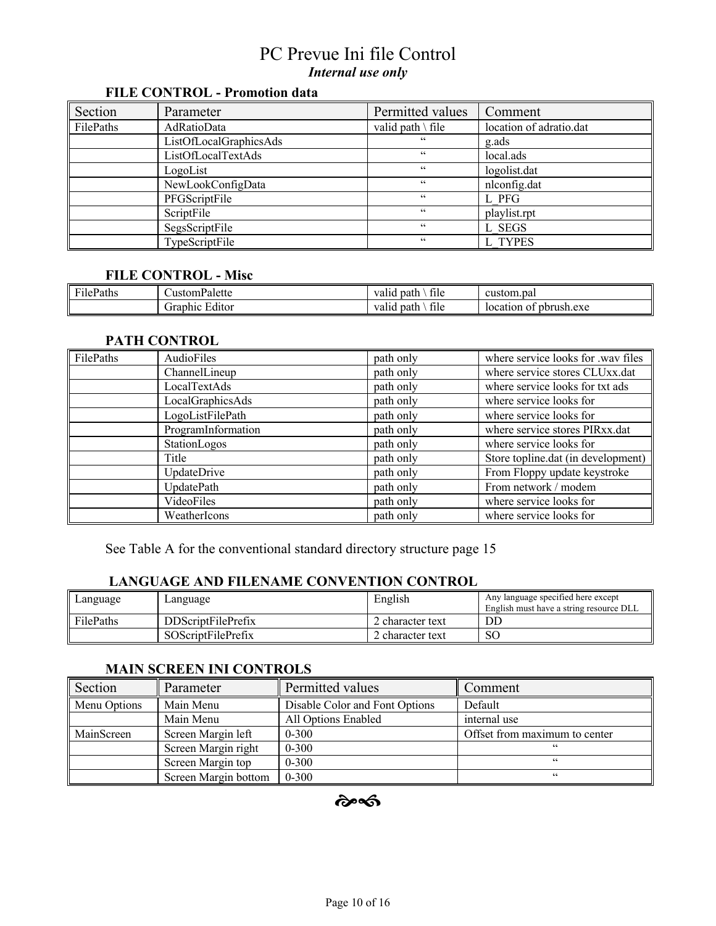# **FILE CONTROL - Promotion data**

| Section   | Parameter              | Permitted values            | Comment                 |
|-----------|------------------------|-----------------------------|-------------------------|
| FilePaths | AdRatioData            | valid path $\setminus$ file | location of adratio.dat |
|           | ListOfLocalGraphicsAds | 66                          | g.ads                   |
|           | ListOfLocalTextAds     | 66                          | local.ads               |
|           | LogoList               | $\subseteq$ $\subseteq$     | logolist.dat            |
|           | NewLookConfigData      | $\subseteq$ $\subseteq$     | nlconfig.dat            |
|           | PFGScriptFile          | $\subseteq$ $\subseteq$     | L PFG                   |
|           | ScriptFile             | $\subseteq$ $\subseteq$     | playlist.rpt            |
|           | SegsScriptFile         | $\subseteq$ $\subseteq$     | L SEGS                  |
|           | TypeScriptFile         | 66                          | L TYPES                 |

#### **FILE CONTROL - Misc**

| $\mathbf{r}$<br>File.<br>Paths | <b>Palette</b><br>ustom.             | $\sim$<br>file<br>valiu .<br>path  | custom.pal                        |
|--------------------------------|--------------------------------------|------------------------------------|-----------------------------------|
|                                | $\cdot$ $\cdot$<br>iranhic<br>⊥ditor | $\sim$<br>valia.<br>tile<br>. patr | 1.exe<br>pbrush<br>location<br>O. |

### **PATH CONTROL**

| FilePaths | AudioFiles         | path only | where service looks for .wav files |
|-----------|--------------------|-----------|------------------------------------|
|           | ChannelLineup      | path only | where service stores CLUxx.dat     |
|           | LocalTextAds       | path only | where service looks for txt ads    |
|           | LocalGraphicsAds   | path only | where service looks for            |
|           | LogoListFilePath   | path only | where service looks for            |
|           | ProgramInformation | path only | where service stores PIRxx.dat     |
|           | StationLogos       | path only | where service looks for            |
|           | Title              | path only | Store topline.dat (in development) |
|           | UpdateDrive        | path only | From Floppy update keystroke       |
|           | UpdatePath         | path only | From network / modem               |
|           | VideoFiles         | path only | where service looks for            |
|           | WeatherIcons       | path only | where service looks for            |

See Table A for the conventional standard directory structure page 15

# **LANGUAGE AND FILENAME CONVENTION CONTROL**

| Language  | Language                  | English          | Any language specified here except<br>English must have a string resource DLL |
|-----------|---------------------------|------------------|-------------------------------------------------------------------------------|
| FilePaths | <b>DDScriptFilePrefix</b> | 2 character text | DD                                                                            |
|           | <b>SOScriptFilePrefix</b> | ! character text | SС                                                                            |

### **MAIN SCREEN INI CONTROLS**

| Section      | Parameter            | Permitted values               | Comment                       |
|--------------|----------------------|--------------------------------|-------------------------------|
| Menu Options | Main Menu            | Disable Color and Font Options | Default                       |
|              | Main Menu            | All Options Enabled            | internal use                  |
| MainScreen   | Screen Margin left   | $0 - 300$                      | Offset from maximum to center |
|              | Screen Margin right  | $0 - 300$                      | 66                            |
|              | Screen Margin top    | $0 - 300$                      | 66                            |
|              | Screen Margin bottom | $0 - 300$                      | 66                            |

 $\hat{\mathbf{c}}$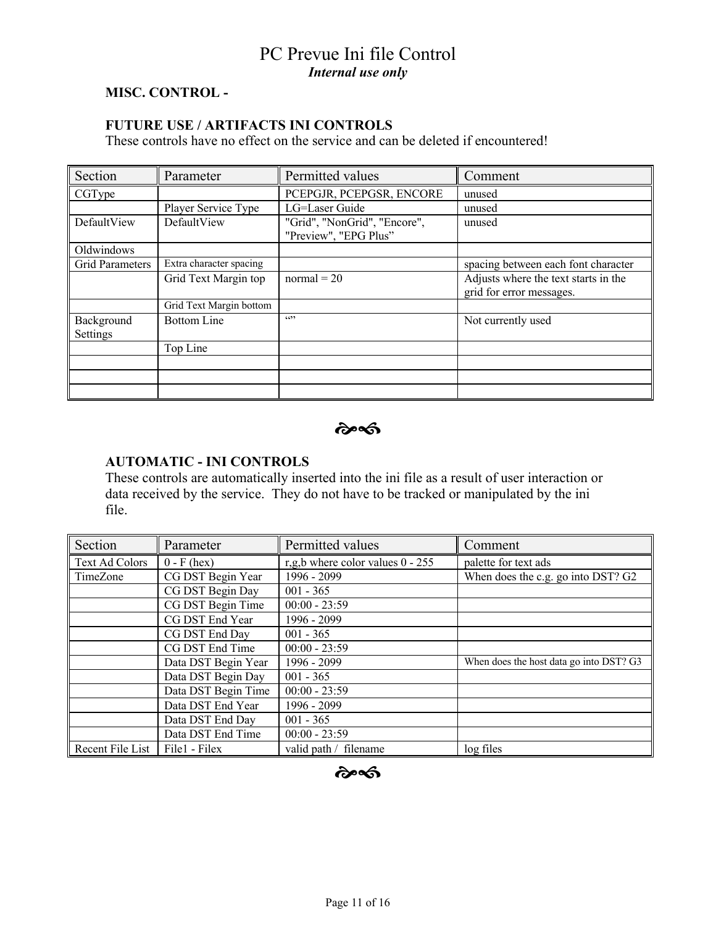### **MISC. CONTROL -**

## **FUTURE USE / ARTIFACTS INI CONTROLS**

These controls have no effect on the service and can be deleted if encountered!

| Section                | Parameter               | Permitted values                                      | Comment                                                          |
|------------------------|-------------------------|-------------------------------------------------------|------------------------------------------------------------------|
| CGType                 |                         | PCEPGJR, PCEPGSR, ENCORE                              | unused                                                           |
|                        | Player Service Type     | LG=Laser Guide                                        | unused                                                           |
| DefaultView            | DefaultView             | "Grid", "NonGrid", "Encore",<br>"Preview", "EPG Plus" | unused                                                           |
| Oldwindows             |                         |                                                       |                                                                  |
| <b>Grid Parameters</b> | Extra character spacing |                                                       | spacing between each font character                              |
|                        | Grid Text Margin top    | $normal = 20$                                         | Adjusts where the text starts in the<br>grid for error messages. |
|                        | Grid Text Margin bottom |                                                       |                                                                  |
| Background<br>Settings | <b>Bottom Line</b>      | 6522                                                  | Not currently used                                               |
|                        | Top Line                |                                                       |                                                                  |
|                        |                         |                                                       |                                                                  |
|                        |                         |                                                       |                                                                  |
|                        |                         |                                                       |                                                                  |

 $\hat{\alpha}$ 

### **AUTOMATIC - INI CONTROLS**

These controls are automatically inserted into the ini file as a result of user interaction or data received by the service. They do not have to be tracked or manipulated by the ini file.

| Section          | Parameter           | Permitted values                 | Comment                                 |
|------------------|---------------------|----------------------------------|-----------------------------------------|
| Text Ad Colors   | $0 - F$ (hex)       | r,g,b where color values 0 - 255 | palette for text ads                    |
| TimeZone         | CG DST Begin Year   | 1996 - 2099                      | When does the c.g. go into DST? G2      |
|                  | CG DST Begin Day    | $001 - 365$                      |                                         |
|                  | CG DST Begin Time   | $00:00 - 23:59$                  |                                         |
|                  | CG DST End Year     | 1996 - 2099                      |                                         |
|                  | CG DST End Day      | $001 - 365$                      |                                         |
|                  | CG DST End Time     | $00:00 - 23:59$                  |                                         |
|                  | Data DST Begin Year | 1996 - 2099                      | When does the host data go into DST? G3 |
|                  | Data DST Begin Day  | $001 - 365$                      |                                         |
|                  | Data DST Begin Time | $00:00 - 23:59$                  |                                         |
|                  | Data DST End Year   | 1996 - 2099                      |                                         |
|                  | Data DST End Day    | $001 - 365$                      |                                         |
|                  | Data DST End Time   | $00:00 - 23:59$                  |                                         |
| Recent File List | File1 - Filex       | valid path / filename            | log files                               |

# $\hat{\boldsymbol{\alpha}}$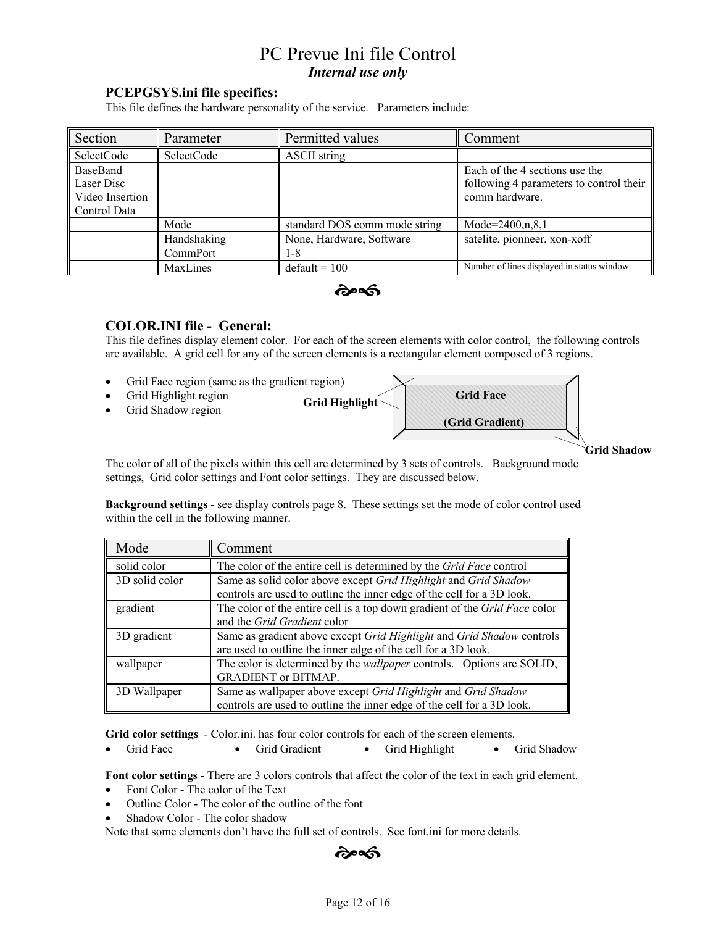### **PCEPGSYS.ini file specifics:**

This file defines the hardware personality of the service. Parameters include:

| Section                                                   | Parameter   | Permitted values              | Comment                                                                                     |
|-----------------------------------------------------------|-------------|-------------------------------|---------------------------------------------------------------------------------------------|
| SelectCode                                                | SelectCode  | <b>ASCII</b> string           |                                                                                             |
| BaseBand<br>Laser Disc<br>Video Insertion<br>Control Data |             |                               | Each of the 4 sections use the<br>following 4 parameters to control their<br>comm hardware. |
|                                                           | Mode        | standard DOS comm mode string | Mode= $2400,n,8,1$                                                                          |
|                                                           | Handshaking | None, Hardware, Software      | satelite, pionneer, xon-xoff                                                                |
|                                                           | CommPort    | 1-8                           |                                                                                             |
|                                                           | MaxLines    | $default = 100$               | Number of lines displayed in status window                                                  |

෬෬෯

### **COLOR.INI file - General:**

This file defines display element color. For each of the screen elements with color control, the following controls are available. A grid cell for any of the screen elements is a rectangular element composed of 3 regions.

- Grid Face region (same as the gradient region)
- Grid Highlight region
- Grid Shadow region





**Grid Shadow**

The color of all of the pixels within this cell are determined by 3 sets of controls. Background mode settings, Grid color settings and Font color settings. They are discussed below.

**Background settings** - see display controls page 8. These settings set the mode of color control used within the cell in the following manner.

| Mode           | Comment                                                                                                                                   |
|----------------|-------------------------------------------------------------------------------------------------------------------------------------------|
| solid color    | The color of the entire cell is determined by the Grid Face control                                                                       |
| 3D solid color | Same as solid color above except Grid Highlight and Grid Shadow<br>controls are used to outline the inner edge of the cell for a 3D look. |
| gradient       | The color of the entire cell is a top down gradient of the Grid Face color<br>and the Grid Gradient color                                 |
| 3D gradient    | Same as gradient above except Grid Highlight and Grid Shadow controls<br>are used to outline the inner edge of the cell for a 3D look.    |
| wallpaper      | The color is determined by the <i>wallpaper</i> controls. Options are SOLID,<br><b>GRADIENT</b> or BITMAP.                                |
| 3D Wallpaper   | Same as wallpaper above except Grid Highlight and Grid Shadow<br>controls are used to outline the inner edge of the cell for a 3D look.   |

**Grid color settings** - Color.ini. has four color controls for each of the screen elements.

• Grid Face • Grid Gradient • Grid Highlight • Grid Shadow

**Font color settings** - There are 3 colors controls that affect the color of the text in each grid element.

- Font Color The color of the Text
- Outline Color The color of the outline of the font
- Shadow Color The color shadow

Note that some elements don't have the full set of controls. See font.ini for more details.

෬෬෯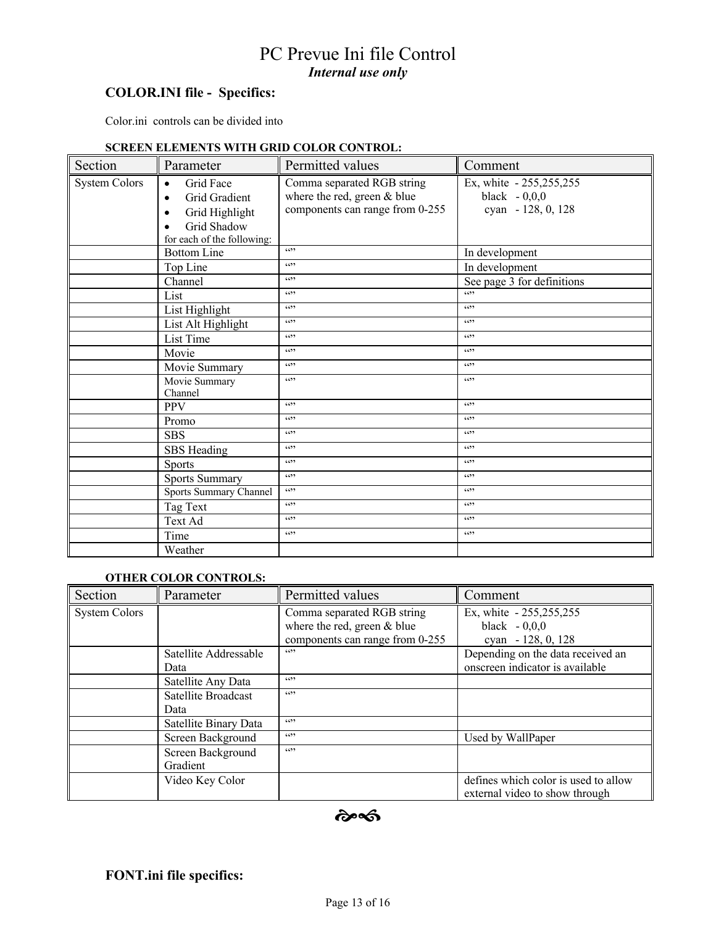## **COLOR.INI file - Specifics:**

Color.ini controls can be divided into

#### **SCREEN ELEMENTS WITH GRID COLOR CONTROL:**

| Section              | Parameter                                                                                                                             | Permitted values                                                                             | Comment                                                         |
|----------------------|---------------------------------------------------------------------------------------------------------------------------------------|----------------------------------------------------------------------------------------------|-----------------------------------------------------------------|
| <b>System Colors</b> | Grid Face<br>$\bullet$<br>Grid Gradient<br>$\bullet$<br>Grid Highlight<br>٠<br>Grid Shadow<br>$\bullet$<br>for each of the following: | Comma separated RGB string<br>where the red, green & blue<br>components can range from 0-255 | Ex, white - 255,255,255<br>black $-0,0,0$<br>cyan - 128, 0, 128 |
|                      | <b>Bottom Line</b>                                                                                                                    | 6699                                                                                         | In development                                                  |
|                      | Top Line                                                                                                                              | 6699                                                                                         | In development                                                  |
|                      | Channel                                                                                                                               | 6699                                                                                         | See page 3 for definitions                                      |
|                      | List                                                                                                                                  | 6699                                                                                         | $\cdots$                                                        |
|                      | List Highlight                                                                                                                        | 6699                                                                                         | 6522                                                            |
|                      | List Alt Highlight                                                                                                                    | 6699                                                                                         | 6699                                                            |
|                      | List Time                                                                                                                             | 6699                                                                                         | 6699                                                            |
|                      | Movie                                                                                                                                 | 6699                                                                                         | 6522                                                            |
|                      | Movie Summary                                                                                                                         | 6699                                                                                         | 6699                                                            |
|                      | Movie Summary<br>Channel                                                                                                              | 6699                                                                                         | (4)                                                             |
|                      | <b>PPV</b>                                                                                                                            | (4)                                                                                          | (4)                                                             |
|                      | Promo                                                                                                                                 | 6699                                                                                         | 6699                                                            |
|                      | <b>SBS</b>                                                                                                                            | 6699                                                                                         | (4)                                                             |
|                      | SBS Heading                                                                                                                           | 6699                                                                                         | (4)                                                             |
|                      | <b>Sports</b>                                                                                                                         | 6699                                                                                         | 6699                                                            |
|                      | <b>Sports Summary</b>                                                                                                                 | (4)                                                                                          | 6699                                                            |
|                      | Sports Summary Channel                                                                                                                | 6699                                                                                         | 6699                                                            |
|                      | Tag Text                                                                                                                              | 6699                                                                                         | 6699                                                            |
|                      | Text Ad                                                                                                                               | 6699                                                                                         | 6699                                                            |
|                      | Time                                                                                                                                  | 6699                                                                                         | 6699                                                            |
|                      | Weather                                                                                                                               |                                                                                              |                                                                 |

#### **OTHER COLOR CONTROLS:**

| Section              | Parameter                     | Permitted values                                                                                     | Comment                                                                                                 |  |  |
|----------------------|-------------------------------|------------------------------------------------------------------------------------------------------|---------------------------------------------------------------------------------------------------------|--|--|
| <b>System Colors</b> | Satellite Addressable         | Comma separated RGB string<br>where the red, green & blue<br>components can range from 0-255<br>6699 | Ex, white - 255, 255, 255<br>black $-0,0,0$<br>cyan $-128, 0, 128$<br>Depending on the data received an |  |  |
|                      | Data                          |                                                                                                      | onscreen indicator is available                                                                         |  |  |
|                      | Satellite Any Data            | 6699                                                                                                 |                                                                                                         |  |  |
|                      | Satellite Broadcast<br>Data   | 6699                                                                                                 |                                                                                                         |  |  |
|                      | Satellite Binary Data         | 6699                                                                                                 |                                                                                                         |  |  |
|                      | Screen Background             | 6699                                                                                                 | Used by WallPaper                                                                                       |  |  |
|                      | Screen Background<br>Gradient | 6699                                                                                                 |                                                                                                         |  |  |
|                      | Video Key Color               |                                                                                                      | defines which color is used to allow<br>external video to show through                                  |  |  |

 $\hat{\sigma}$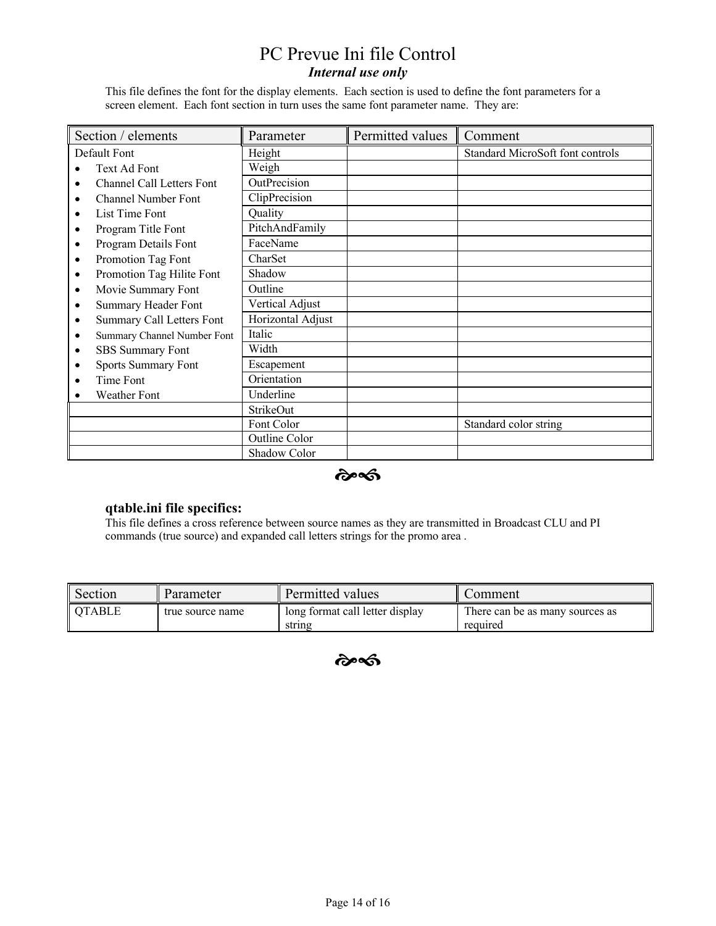This file defines the font for the display elements. Each section is used to define the font parameters for a screen element. Each font section in turn uses the same font parameter name. They are:

| Section / elements                            | Parameter         | Permitted values | Comment                          |  |
|-----------------------------------------------|-------------------|------------------|----------------------------------|--|
| Default Font                                  | Height            |                  | Standard MicroSoft font controls |  |
| Text Ad Font                                  | Weigh             |                  |                                  |  |
| Channel Call Letters Font<br>$\bullet$        | OutPrecision      |                  |                                  |  |
| <b>Channel Number Font</b><br>$\bullet$       | ClipPrecision     |                  |                                  |  |
| List Time Font<br>$\bullet$                   | Quality           |                  |                                  |  |
| Program Title Font<br>٠                       | PitchAndFamily    |                  |                                  |  |
| Program Details Font<br>$\bullet$             | FaceName          |                  |                                  |  |
| Promotion Tag Font<br>$\bullet$               | CharSet           |                  |                                  |  |
| Promotion Tag Hilite Font<br>$\bullet$        | Shadow            |                  |                                  |  |
| Movie Summary Font<br>$\bullet$               | Outline           |                  |                                  |  |
| Summary Header Font<br>$\bullet$              | Vertical Adjust   |                  |                                  |  |
| <b>Summary Call Letters Font</b><br>$\bullet$ | Horizontal Adjust |                  |                                  |  |
| Summary Channel Number Font<br>٠              | Italic            |                  |                                  |  |
| SBS Summary Font<br>$\bullet$                 | Width             |                  |                                  |  |
| <b>Sports Summary Font</b><br>$\bullet$       | Escapement        |                  |                                  |  |
| Time Font                                     | Orientation       |                  |                                  |  |
| Weather Font                                  | Underline         |                  |                                  |  |
|                                               | StrikeOut         |                  |                                  |  |
|                                               | Font Color        |                  | Standard color string            |  |
|                                               | Outline Color     |                  |                                  |  |
|                                               | Shadow Color      |                  |                                  |  |

#### $\hat{\boldsymbol{\alpha}}$

### **qtable.ini file specifics:**

This file defines a cross reference between source names as they are transmitted in Broadcast CLU and PI commands (true source) and expanded call letters strings for the promo area .

| Section  | Parameter        | ll Permitted values                       | Comment                                     |  |  |
|----------|------------------|-------------------------------------------|---------------------------------------------|--|--|
| I OTABLE | true source name | long format call letter display<br>string | There can be as many sources as<br>required |  |  |

 $\hat{\boldsymbol{\alpha}}$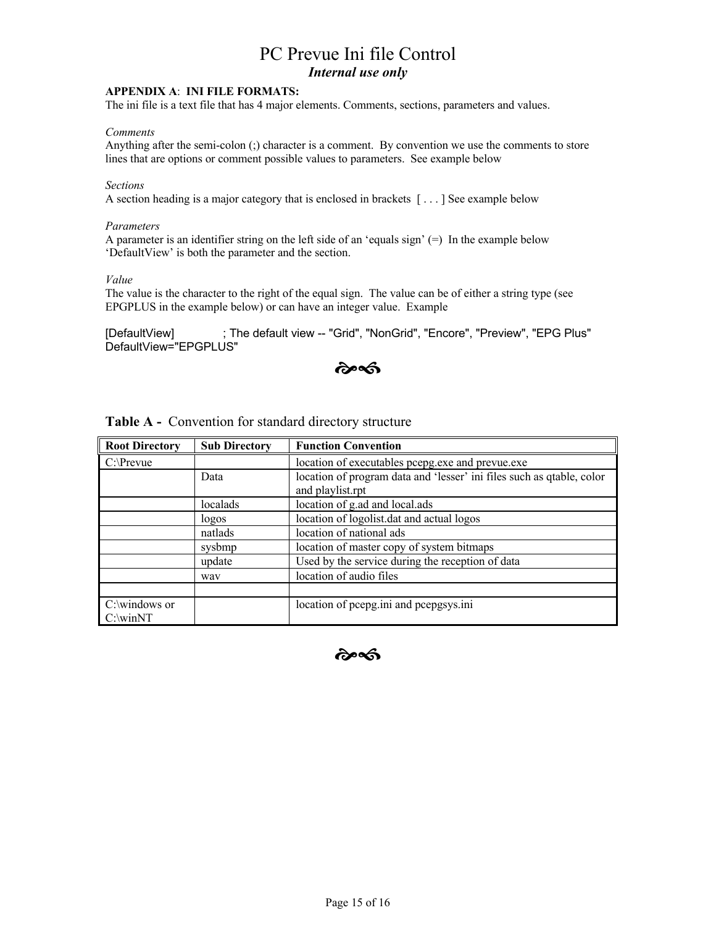#### **APPENDIX A**: **INI FILE FORMATS:**

The ini file is a text file that has 4 major elements. Comments, sections, parameters and values.

#### *Comments*

Anything after the semi-colon (;) character is a comment. By convention we use the comments to store lines that are options or comment possible values to parameters. See example below

#### *Sections*

A section heading is a major category that is enclosed in brackets [ . . . ] See example below

#### *Parameters*

A parameter is an identifier string on the left side of an 'equals sign'  $(=)$  In the example below 'DefaultView' is both the parameter and the section.

*Value*

The value is the character to the right of the equal sign. The value can be of either a string type (see EPGPLUS in the example below) or can have an integer value. Example

[DefaultView] ; The default view -- "Grid", "NonGrid", "Encore", "Preview", "EPG Plus" DefaultView="EPGPLUS"

কৈৰ্ণ্ড

| <b>Root Directory</b> | <b>Sub Directory</b> | <b>Function Convention</b>                                                                |
|-----------------------|----------------------|-------------------------------------------------------------------------------------------|
| $C:\P$ revue          |                      | location of executables pcepg.exe and prevue.exe                                          |
|                       | Data                 | location of program data and 'lesser' ini files such as qtable, color<br>and playlist.rpt |
|                       | localads             | location of g.ad and local.ads                                                            |
|                       | logos                | location of logolist.dat and actual logos                                                 |
|                       | natlads              | location of national ads                                                                  |
|                       | sysbmp               | location of master copy of system bitmaps                                                 |
|                       | update               | Used by the service during the reception of data                                          |
|                       | way                  | location of audio files                                                                   |
|                       |                      |                                                                                           |
| $C:\win NT$           |                      | location of pcepg.ini and pcepgsys.ini                                                    |

**Table A -** Convention for standard directory structure